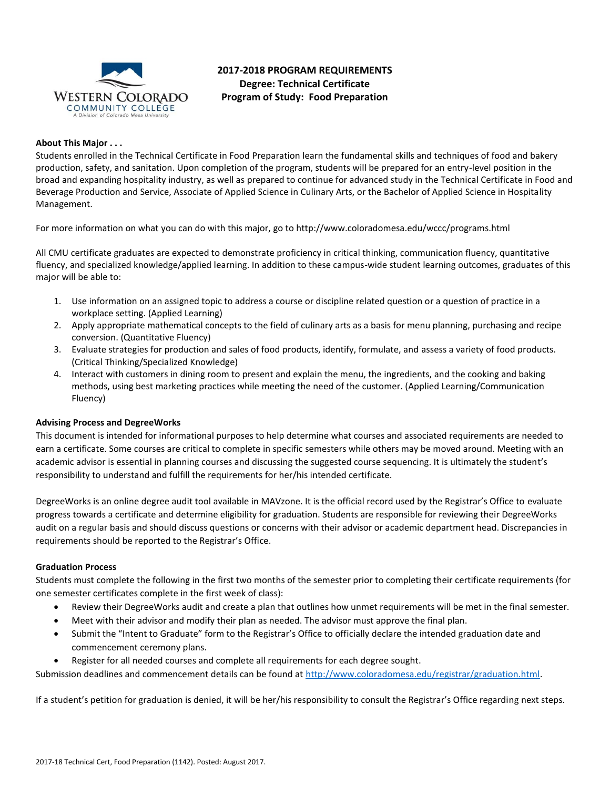

# **2017-2018 PROGRAM REQUIREMENTS Degree: Technical Certificate Program of Study: Food Preparation**

#### **About This Major . . .**

Students enrolled in the Technical Certificate in Food Preparation learn the fundamental skills and techniques of food and bakery production, safety, and sanitation. Upon completion of the program, students will be prepared for an entry-level position in the broad and expanding hospitality industry, as well as prepared to continue for advanced study in the Technical Certificate in Food and Beverage Production and Service, Associate of Applied Science in Culinary Arts, or the Bachelor of Applied Science in Hospitality Management.

For more information on what you can do with this major, go to http://www.coloradomesa.edu/wccc/programs.html

All CMU certificate graduates are expected to demonstrate proficiency in critical thinking, communication fluency, quantitative fluency, and specialized knowledge/applied learning. In addition to these campus-wide student learning outcomes, graduates of this major will be able to:

- 1. Use information on an assigned topic to address a course or discipline related question or a question of practice in a workplace setting. (Applied Learning)
- 2. Apply appropriate mathematical concepts to the field of culinary arts as a basis for menu planning, purchasing and recipe conversion. (Quantitative Fluency)
- 3. Evaluate strategies for production and sales of food products, identify, formulate, and assess a variety of food products. (Critical Thinking/Specialized Knowledge)
- 4. Interact with customers in dining room to present and explain the menu, the ingredients, and the cooking and baking methods, using best marketing practices while meeting the need of the customer. (Applied Learning/Communication Fluency)

#### **Advising Process and DegreeWorks**

This document is intended for informational purposes to help determine what courses and associated requirements are needed to earn a certificate. Some courses are critical to complete in specific semesters while others may be moved around. Meeting with an academic advisor is essential in planning courses and discussing the suggested course sequencing. It is ultimately the student's responsibility to understand and fulfill the requirements for her/his intended certificate.

DegreeWorks is an online degree audit tool available in MAVzone. It is the official record used by the Registrar's Office to evaluate progress towards a certificate and determine eligibility for graduation. Students are responsible for reviewing their DegreeWorks audit on a regular basis and should discuss questions or concerns with their advisor or academic department head. Discrepancies in requirements should be reported to the Registrar's Office.

#### **Graduation Process**

Students must complete the following in the first two months of the semester prior to completing their certificate requirements (for one semester certificates complete in the first week of class):

- Review their DegreeWorks audit and create a plan that outlines how unmet requirements will be met in the final semester.
- Meet with their advisor and modify their plan as needed. The advisor must approve the final plan.
- Submit the "Intent to Graduate" form to the Registrar's Office to officially declare the intended graduation date and commencement ceremony plans.
- Register for all needed courses and complete all requirements for each degree sought.

Submission deadlines and commencement details can be found at [http://www.coloradomesa.edu/registrar/graduation.html.](http://www.coloradomesa.edu/registrar/graduation.html)

If a student's petition for graduation is denied, it will be her/his responsibility to consult the Registrar's Office regarding next steps.